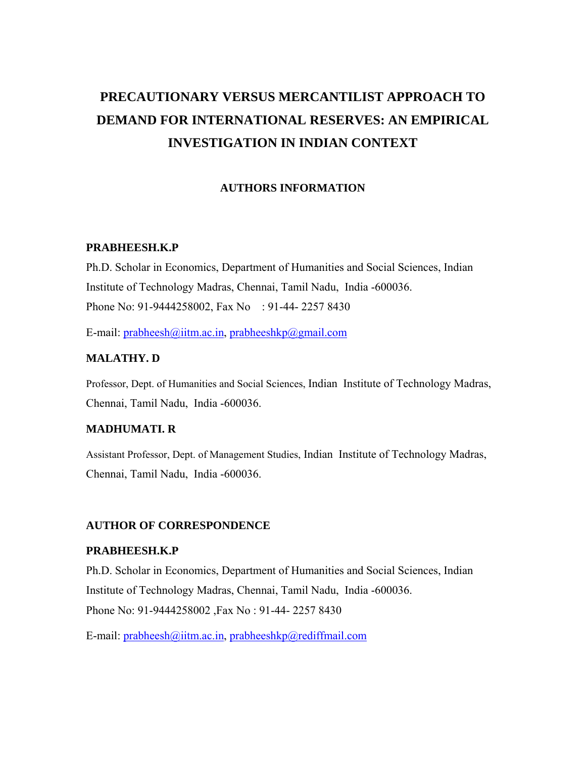## **PRECAUTIONARY VERSUS MERCANTILIST APPROACH TO DEMAND FOR INTERNATIONAL RESERVES: AN EMPIRICAL INVESTIGATION IN INDIAN CONTEXT**

## **AUTHORS INFORMATION**

#### **PRABHEESH.K.P**

Ph.D. Scholar in Economics, Department of Humanities and Social Sciences, Indian Institute of Technology Madras, Chennai, Tamil Nadu, India -600036. Phone No: 91-9444258002, Fax No : 91-44- 2257 8430

E-mail:  $prabheesh@iitm.ac.in. prabheeshkp@gmail.com$  $prabheesh@iitm.ac.in. prabheeshkp@gmail.com$ 

## **MALATHY. D**

Professor, Dept. of Humanities and Social Sciences, Indian Institute of Technology Madras, Chennai, Tamil Nadu, India -600036.

### **MADHUMATI. R**

Assistant Professor, Dept. of Management Studies, Indian Institute of Technology Madras, Chennai, Tamil Nadu, India -600036.

#### **AUTHOR OF CORRESPONDENCE**

#### **PRABHEESH.K.P**

Ph.D. Scholar in Economics, Department of Humanities and Social Sciences, Indian Institute of Technology Madras, Chennai, Tamil Nadu, India -600036. Phone No: 91-9444258002 ,Fax No : 91-44- 2257 8430

E-mail: [prabheesh@iitm.ac.in](mailto:prabheesh@iitm.ac.in), [prabheeshkp@rediffmail.com](mailto:prabheeshkp@rediffmail.com)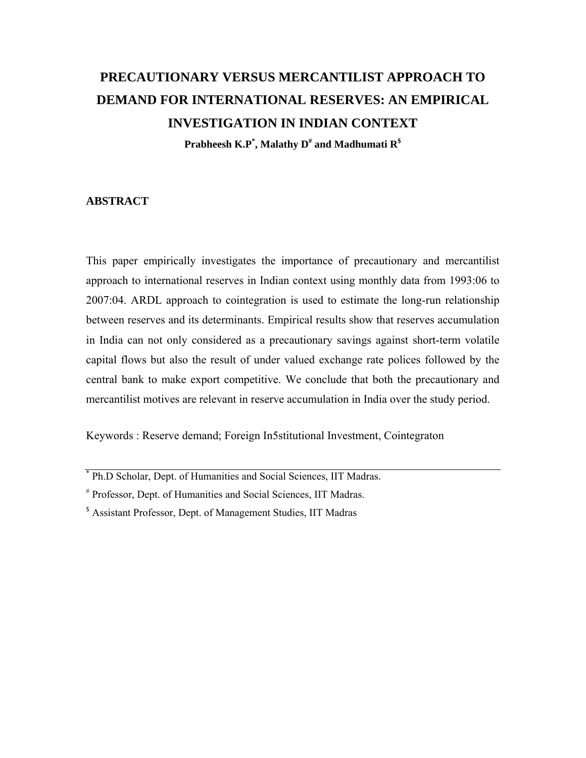# **PRECAUTIONARY VERSUS MERCANTILIST APPROACH TO DEMAND FOR INTERNATIONAL RESERVES: AN EMPIRICAL INVESTIGATION IN INDIAN CONTEXT**

 $\mathbf{Prahheesh }\,\mathbf{K}.\mathbf{P}^{*}\!,\mathbf{Malathy}\;\mathbf{D}^{\text{\#}}$  and  $\mathbf{Madhumati }\;\mathbf{R}^{\text{\$}}$ 

#### **ABSTRACT**

This paper empirically investigates the importance of precautionary and mercantilist approach to international reserves in Indian context using monthly data from 1993:06 to 2007:04. ARDL approach to cointegration is used to estimate the long-run relationship between reserves and its determinants. Empirical results show that reserves accumulation in India can not only considered as a precautionary savings against short-term volatile capital flows but also the result of under valued exchange rate polices followed by the central bank to make export competitive. We conclude that both the precautionary and mercantilist motives are relevant in reserve accumulation in India over the study period.

Keywords : Reserve demand; Foreign In5stitutional Investment, Cointegraton

<sup>\*</sup> Ph.D Scholar, Dept. of Humanities and Social Sciences, IIT Madras.

<sup>#</sup> Professor, Dept. of Humanities and Social Sciences, IIT Madras.

<sup>&</sup>lt;sup>\$</sup> Assistant Professor, Dept. of Management Studies, IIT Madras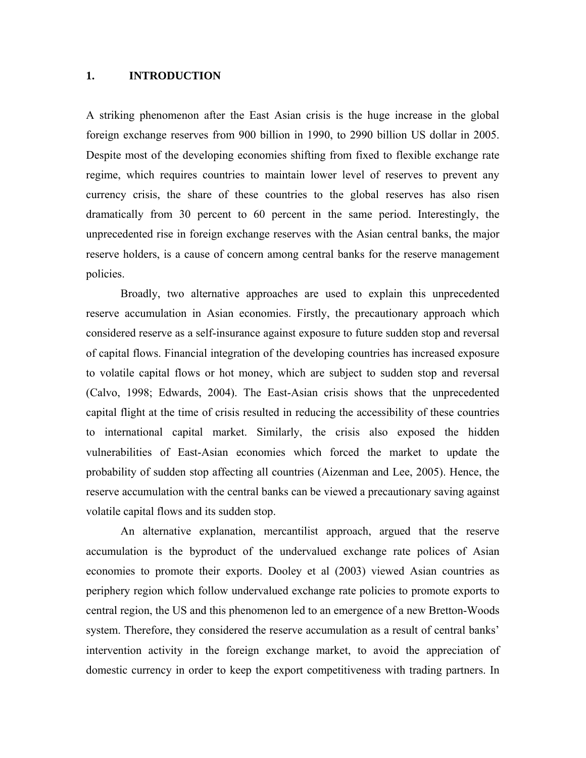#### **1. INTRODUCTION**

A striking phenomenon after the East Asian crisis is the huge increase in the global foreign exchange reserves from 900 billion in 1990, to 2990 billion US dollar in 2005. Despite most of the developing economies shifting from fixed to flexible exchange rate regime, which requires countries to maintain lower level of reserves to prevent any currency crisis, the share of these countries to the global reserves has also risen dramatically from 30 percent to 60 percent in the same period. Interestingly, the unprecedented rise in foreign exchange reserves with the Asian central banks, the major reserve holders, is a cause of concern among central banks for the reserve management policies.

Broadly, two alternative approaches are used to explain this unprecedented reserve accumulation in Asian economies. Firstly, the precautionary approach which considered reserve as a self-insurance against exposure to future sudden stop and reversal of capital flows. Financial integration of the developing countries has increased exposure to volatile capital flows or hot money, which are subject to sudden stop and reversal (Calvo, 1998; Edwards, 2004). The East-Asian crisis shows that the unprecedented capital flight at the time of crisis resulted in reducing the accessibility of these countries to international capital market. Similarly, the crisis also exposed the hidden vulnerabilities of East-Asian economies which forced the market to update the probability of sudden stop affecting all countries (Aizenman and Lee, 2005). Hence, the reserve accumulation with the central banks can be viewed a precautionary saving against volatile capital flows and its sudden stop.

An alternative explanation, mercantilist approach, argued that the reserve accumulation is the byproduct of the undervalued exchange rate polices of Asian economies to promote their exports. Dooley et al (2003) viewed Asian countries as periphery region which follow undervalued exchange rate policies to promote exports to central region, the US and this phenomenon led to an emergence of a new Bretton-Woods system. Therefore, they considered the reserve accumulation as a result of central banks' intervention activity in the foreign exchange market, to avoid the appreciation of domestic currency in order to keep the export competitiveness with trading partners. In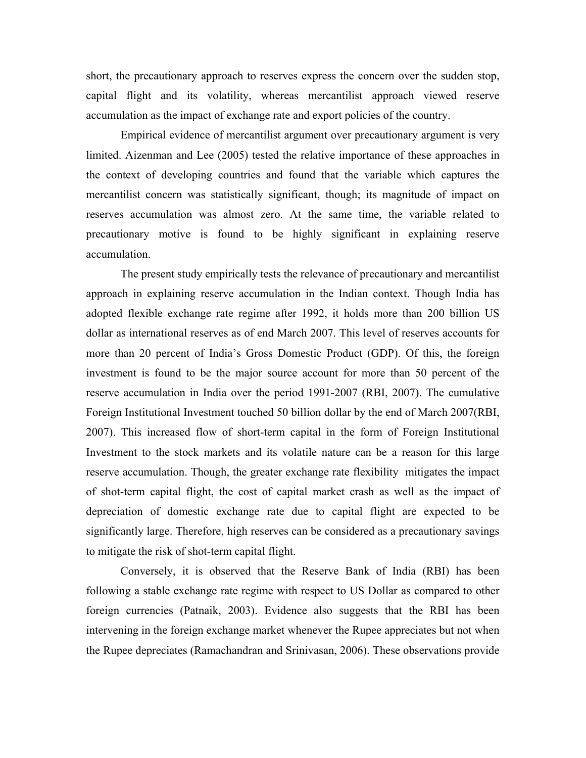short, the precautionary approach to reserves express the concern over the sudden stop, capital flight and its volatility, whereas mercantilist approach viewed reserve accumulation as the impact of exchange rate and export policies of the country.

Empirical evidence of mercantilist argument over precautionary argument is very limited. Aizenman and Lee (2005) tested the relative importance of these approaches in the context of developing countries and found that the variable which captures the mercantilist concern was statistically significant, though; its magnitude of impact on reserves accumulation was almost zero. At the same time, the variable related to precautionary motive is found to be highly significant in explaining reserve accumulation.

The present study empirically tests the relevance of precautionary and mercantilist approach in explaining reserve accumulation in the Indian context. Though India has adopted flexible exchange rate regime after 1992, it holds more than 200 billion US dollar as international reserves as of end March 2007. This level of reserves accounts for more than 20 percent of India's Gross Domestic Product (GDP). Of this, the foreign investment is found to be the major source account for more than 50 percent of the reserve accumulation in India over the period 1991-2007 (RBI, 2007). The cumulative Foreign Institutional Investment touched 50 billion dollar by the end of March 2007(RBI, 2007). This increased flow of short-term capital in the form of Foreign Institutional Investment to the stock markets and its volatile nature can be a reason for this large reserve accumulation. Though, the greater exchange rate flexibility mitigates the impact of shot-term capital flight, the cost of capital market crash as well as the impact of depreciation of domestic exchange rate due to capital flight are expected to be significantly large. Therefore, high reserves can be considered as a precautionary savings to mitigate the risk of shot-term capital flight.

Conversely, it is observed that the Reserve Bank of India (RBI) has been following a stable exchange rate regime with respect to US Dollar as compared to other foreign currencies (Patnaik, 2003). Evidence also suggests that the RBI has been intervening in the foreign exchange market whenever the Rupee appreciates but not when the Rupee depreciates (Ramachandran and Srinivasan, 2006). These observations provide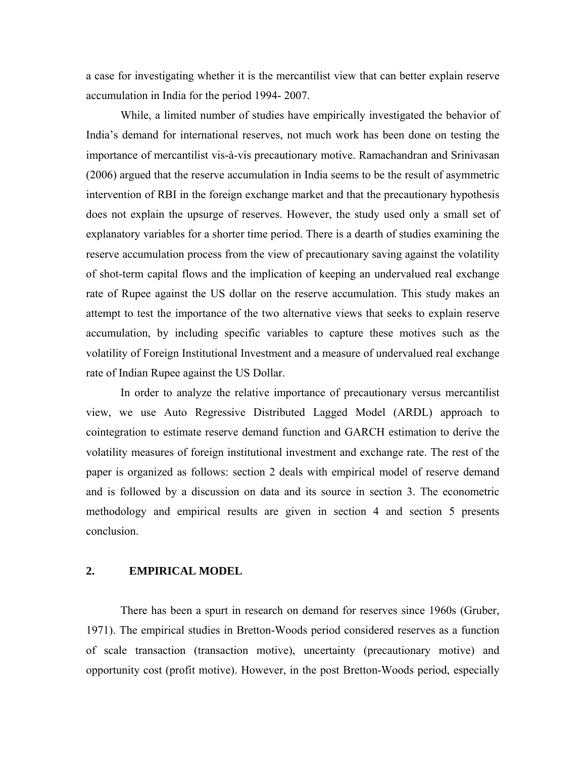a case for investigating whether it is the mercantilist view that can better explain reserve accumulation in India for the period 1994- 2007.

While, a limited number of studies have empirically investigated the behavior of India's demand for international reserves, not much work has been done on testing the importance of mercantilist vis-à-vis precautionary motive. Ramachandran and Srinivasan (2006) argued that the reserve accumulation in India seems to be the result of asymmetric intervention of RBI in the foreign exchange market and that the precautionary hypothesis does not explain the upsurge of reserves. However, the study used only a small set of explanatory variables for a shorter time period. There is a dearth of studies examining the reserve accumulation process from the view of precautionary saving against the volatility of shot-term capital flows and the implication of keeping an undervalued real exchange rate of Rupee against the US dollar on the reserve accumulation. This study makes an attempt to test the importance of the two alternative views that seeks to explain reserve accumulation, by including specific variables to capture these motives such as the volatility of Foreign Institutional Investment and a measure of undervalued real exchange rate of Indian Rupee against the US Dollar.

In order to analyze the relative importance of precautionary versus mercantilist view, we use Auto Regressive Distributed Lagged Model (ARDL) approach to cointegration to estimate reserve demand function and GARCH estimation to derive the volatility measures of foreign institutional investment and exchange rate. The rest of the paper is organized as follows: section 2 deals with empirical model of reserve demand and is followed by a discussion on data and its source in section 3. The econometric methodology and empirical results are given in section 4 and section 5 presents conclusion.

#### **2. EMPIRICAL MODEL**

There has been a spurt in research on demand for reserves since 1960s (Gruber, 1971). The empirical studies in Bretton-Woods period considered reserves as a function of scale transaction (transaction motive), uncertainty (precautionary motive) and opportunity cost (profit motive). However, in the post Bretton-Woods period, especially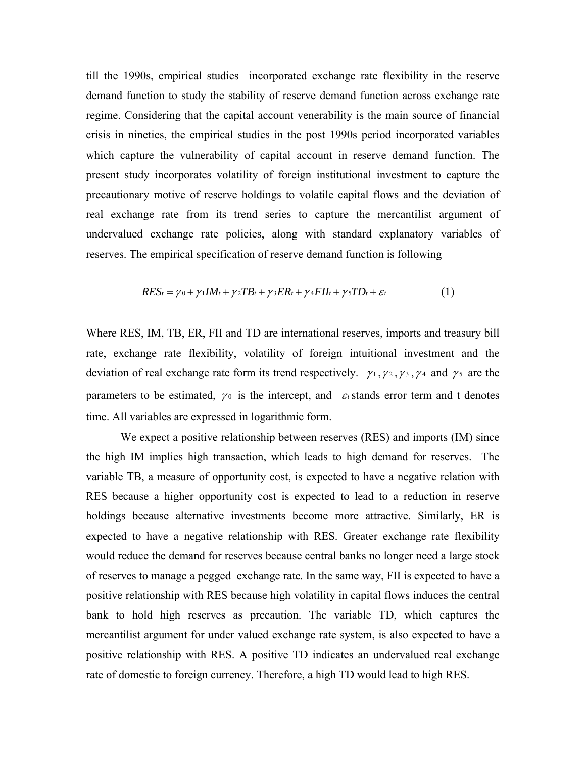till the 1990s, empirical studies incorporated exchange rate flexibility in the reserve demand function to study the stability of reserve demand function across exchange rate regime. Considering that the capital account venerability is the main source of financial crisis in nineties, the empirical studies in the post 1990s period incorporated variables which capture the vulnerability of capital account in reserve demand function. The present study incorporates volatility of foreign institutional investment to capture the precautionary motive of reserve holdings to volatile capital flows and the deviation of real exchange rate from its trend series to capture the mercantilist argument of undervalued exchange rate policies, along with standard explanatory variables of reserves. The empirical specification of reserve demand function is following

$$
RES_{t} = \gamma_0 + \gamma_1 IM_t + \gamma_2 TB_t + \gamma_3 ER_t + \gamma_4 FII_t + \gamma_5 TD_t + \varepsilon_t
$$
\n(1)

Where RES, IM, TB, ER, FII and TD are international reserves, imports and treasury bill rate, exchange rate flexibility, volatility of foreign intuitional investment and the deviation of real exchange rate form its trend respectively.  $\gamma_1, \gamma_2, \gamma_3, \gamma_4$  and  $\gamma_5$  are the parameters to be estimated,  $\gamma_0$  is the intercept, and  $\varepsilon_t$  stands error term and t denotes time. All variables are expressed in logarithmic form.

We expect a positive relationship between reserves (RES) and imports (IM) since the high IM implies high transaction, which leads to high demand for reserves. The variable TB, a measure of opportunity cost, is expected to have a negative relation with RES because a higher opportunity cost is expected to lead to a reduction in reserve holdings because alternative investments become more attractive. Similarly, ER is expected to have a negative relationship with RES. Greater exchange rate flexibility would reduce the demand for reserves because central banks no longer need a large stock of reserves to manage a pegged exchange rate. In the same way, FII is expected to have a positive relationship with RES because high volatility in capital flows induces the central bank to hold high reserves as precaution. The variable TD, which captures the mercantilist argument for under valued exchange rate system, is also expected to have a positive relationship with RES. A positive TD indicates an undervalued real exchange rate of domestic to foreign currency. Therefore, a high TD would lead to high RES.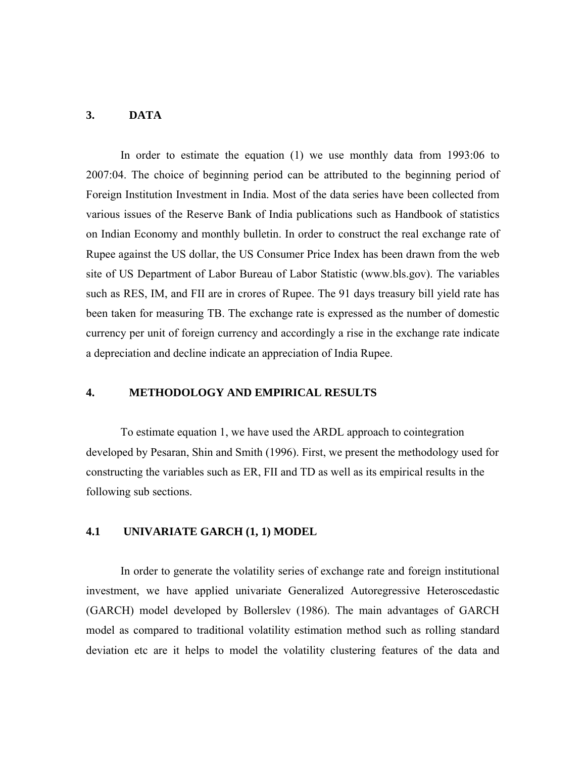#### **3. DATA**

In order to estimate the equation (1) we use monthly data from 1993:06 to 2007:04. The choice of beginning period can be attributed to the beginning period of Foreign Institution Investment in India. Most of the data series have been collected from various issues of the Reserve Bank of India publications such as Handbook of statistics on Indian Economy and monthly bulletin. In order to construct the real exchange rate of Rupee against the US dollar, the US Consumer Price Index has been drawn from the web site of US Department of Labor Bureau of Labor Statistic (www.bls.gov). The variables such as RES, IM, and FII are in crores of Rupee. The 91 days treasury bill yield rate has been taken for measuring TB. The exchange rate is expressed as the number of domestic currency per unit of foreign currency and accordingly a rise in the exchange rate indicate a depreciation and decline indicate an appreciation of India Rupee.

#### **4. METHODOLOGY AND EMPIRICAL RESULTS**

To estimate equation 1, we have used the ARDL approach to cointegration developed by Pesaran, Shin and Smith (1996). First, we present the methodology used for constructing the variables such as ER, FII and TD as well as its empirical results in the following sub sections.

#### **4.1 UNIVARIATE GARCH (1, 1) MODEL**

In order to generate the volatility series of exchange rate and foreign institutional investment, we have applied univariate Generalized Autoregressive Heteroscedastic (GARCH) model developed by Bollerslev (1986). The main advantages of GARCH model as compared to traditional volatility estimation method such as rolling standard deviation etc are it helps to model the volatility clustering features of the data and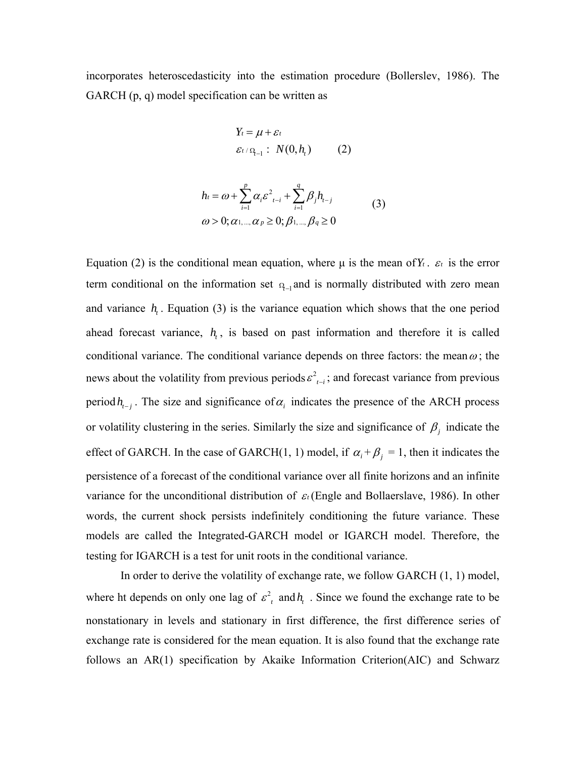incorporates heteroscedasticity into the estimation procedure (Bollerslev, 1986). The GARCH (p, q) model specification can be written as

$$
Y_t = \mu + \varepsilon_t
$$
  

$$
\varepsilon_t / \Omega_{t-1} : N(0, h_t)
$$
 (2)

$$
h_{i} = \omega + \sum_{i=1}^{p} \alpha_{i} \varepsilon^{2}{}_{t-i} + \sum_{i=1}^{q} \beta_{j} h_{t-j}
$$
  
\n
$$
\omega > 0; \alpha_{1,\dots,\alpha} \alpha_{p} \ge 0; \beta_{1,\dots,\beta} \alpha_{q} \ge 0
$$
\n(3)

Equation (2) is the conditional mean equation, where μ is the mean of  $Y_t$ .  $\varepsilon_t$  is the error term conditional on the information set  $q_{-1}$  and is normally distributed with zero mean and variance  $h<sub>i</sub>$ . Equation (3) is the variance equation which shows that the one period ahead forecast variance,  $h_t$ , is based on past information and therefore it is called conditional variance. The conditional variance depends on three factors: the mean  $\omega$ ; the news about the volatility from previous periods  $\varepsilon^2_{t-i}$ ; and forecast variance from previous period  $h_{i-j}$ . The size and significance of  $\alpha_j$  indicates the presence of the ARCH process or volatility clustering in the series. Similarly the size and significance of  $\beta_j$  indicate the effect of GARCH. In the case of GARCH(1, 1) model, if  $\alpha_i + \beta_j = 1$ , then it indicates the persistence of a forecast of the conditional variance over all finite horizons and an infinite variance for the unconditional distribution of <sup>ε</sup>*<sup>t</sup>* (Engle and Bollaerslave, 1986). In other words, the current shock persists indefinitely conditioning the future variance. These models are called the Integrated-GARCH model or IGARCH model. Therefore, the testing for IGARCH is a test for unit roots in the conditional variance.

In order to derive the volatility of exchange rate, we follow GARCH (1, 1) model, where ht depends on only one lag of  $\varepsilon^2$  and  $h$ <sub>t</sub>. Since we found the exchange rate to be nonstationary in levels and stationary in first difference, the first difference series of exchange rate is considered for the mean equation. It is also found that the exchange rate follows an AR(1) specification by Akaike Information Criterion(AIC) and Schwarz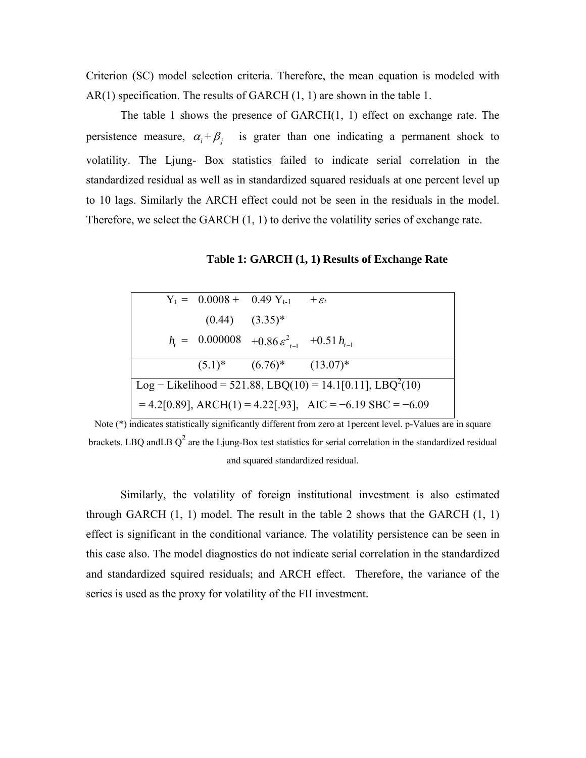Criterion (SC) model selection criteria. Therefore, the mean equation is modeled with AR(1) specification. The results of GARCH (1, 1) are shown in the table 1.

The table 1 shows the presence of GARCH(1, 1) effect on exchange rate. The persistence measure,  $\alpha_i + \beta_i$  is grater than one indicating a permanent shock to volatility. The Ljung- Box statistics failed to indicate serial correlation in the standardized residual as well as in standardized squared residuals at one percent level up to 10 lags. Similarly the ARCH effect could not be seen in the residuals in the model. Therefore, we select the GARCH (1, 1) to derive the volatility series of exchange rate.

**Table 1: GARCH (1, 1) Results of Exchange Rate**

|                                                                        |  |                     | $Y_t = 0.0008 + 0.49 Y_{t-1} + \varepsilon_t$              |  |
|------------------------------------------------------------------------|--|---------------------|------------------------------------------------------------|--|
|                                                                        |  | $(0.44)$ $(3.35)^*$ |                                                            |  |
|                                                                        |  |                     | $h_i = 0.000008 + 0.86 \varepsilon_{i-1}^2 + 0.51 h_{i-1}$ |  |
|                                                                        |  |                     | $(5.1)^*$ $(6.76)^*$ $(13.07)^*$                           |  |
| Log – Likelihood = 521.88, LBQ(10) = 14.1[0.11], LBQ <sup>2</sup> (10) |  |                     |                                                            |  |
| $= 4.2[0.89]$ , ARCH(1) = 4.22[.93], AIC = -6.19 SBC = -6.09           |  |                     |                                                            |  |

Note (\*) indicates statistically significantly different from zero at 1percent level. p-Values are in square brackets. LBQ andLB  $Q^2$  are the Ljung-Box test statistics for serial correlation in the standardized residual and squared standardized residual.

Similarly, the volatility of foreign institutional investment is also estimated through GARCH  $(1, 1)$  model. The result in the table 2 shows that the GARCH  $(1, 1)$ effect is significant in the conditional variance. The volatility persistence can be seen in this case also. The model diagnostics do not indicate serial correlation in the standardized and standardized squired residuals; and ARCH effect. Therefore, the variance of the series is used as the proxy for volatility of the FII investment.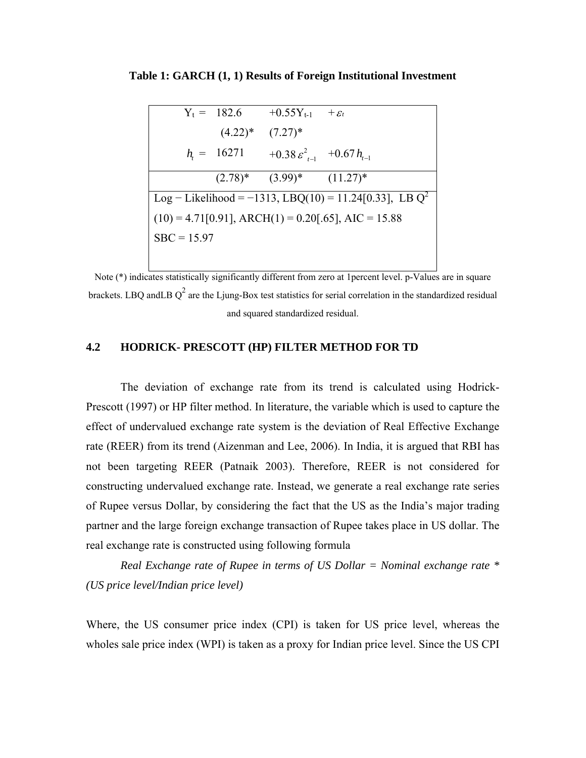|               |                       | $Y_t = 182.6 + 0.55Y_{t-1} + \varepsilon_t$ |                                                                   |
|---------------|-----------------------|---------------------------------------------|-------------------------------------------------------------------|
|               | $(4.22)^*$ $(7.27)^*$ |                                             |                                                                   |
|               | $h_i = 16271$         | +0.38 $\varepsilon_{t-1}^2$ +0.67 $h_{t-1}$ |                                                                   |
|               |                       | $(2.78)^*$ $(3.99)^*$ $(11.27)^*$           |                                                                   |
|               |                       |                                             | Log – Likelihood = -1313, LBQ(10) = 11.24[0.33], LBQ <sup>2</sup> |
|               |                       |                                             | $(10) = 4.71[0.91]$ , ARCH $(1) = 0.20[0.65]$ , AIC = 15.88       |
| $SBC = 15.97$ |                       |                                             |                                                                   |
|               |                       |                                             |                                                                   |

**Table 1: GARCH (1, 1) Results of Foreign Institutional Investment**

Note (\*) indicates statistically significantly different from zero at 1percent level. p-Values are in square brackets. LBQ andLB  $Q^2$  are the Ljung-Box test statistics for serial correlation in the standardized residual and squared standardized residual.

## **4.2 HODRICK- PRESCOTT (HP) FILTER METHOD FOR TD**

The deviation of exchange rate from its trend is calculated using Hodrick-Prescott (1997) or HP filter method. In literature, the variable which is used to capture the effect of undervalued exchange rate system is the deviation of Real Effective Exchange rate (REER) from its trend (Aizenman and Lee, 2006). In India, it is argued that RBI has not been targeting REER (Patnaik 2003). Therefore, REER is not considered for constructing undervalued exchange rate. Instead, we generate a real exchange rate series of Rupee versus Dollar, by considering the fact that the US as the India's major trading partner and the large foreign exchange transaction of Rupee takes place in US dollar. The real exchange rate is constructed using following formula

*Real Exchange rate of Rupee in terms of US Dollar = Nominal exchange rate \* (US price level/Indian price level)* 

Where, the US consumer price index (CPI) is taken for US price level, whereas the wholes sale price index (WPI) is taken as a proxy for Indian price level. Since the US CPI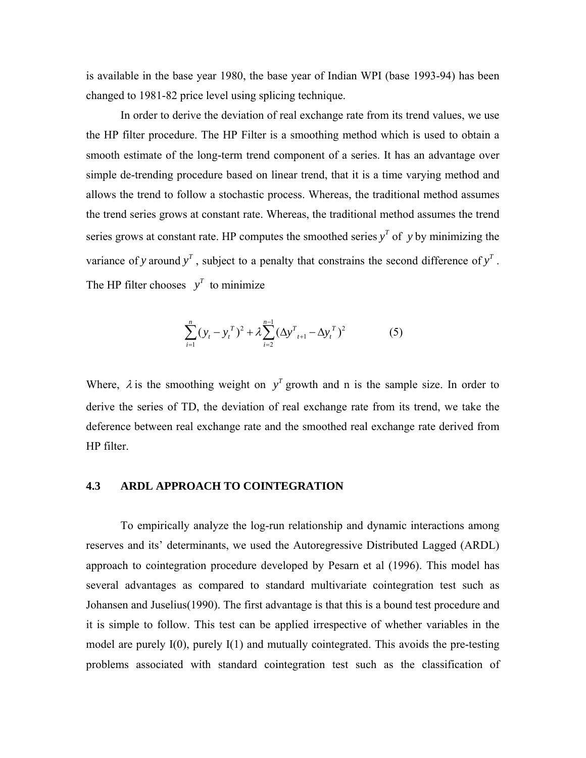is available in the base year 1980, the base year of Indian WPI (base 1993-94) has been changed to 1981-82 price level using splicing technique.

In order to derive the deviation of real exchange rate from its trend values, we use the HP filter procedure. The HP Filter is a smoothing method which is used to obtain a smooth estimate of the long-term trend component of a series. It has an advantage over simple de-trending procedure based on linear trend, that it is a time varying method and allows the trend to follow a stochastic process. Whereas, the traditional method assumes the trend series grows at constant rate. Whereas, the traditional method assumes the trend series grows at constant rate. HP computes the smoothed series  $y<sup>T</sup>$  of *y* by minimizing the variance of *y* around  $y<sup>T</sup>$ , subject to a penalty that constrains the second difference of  $y<sup>T</sup>$ . The HP filter chooses  $y^T$  to minimize

$$
\sum_{i=1}^{n} (y_t - y_t^T)^2 + \lambda \sum_{i=2}^{n-1} (\Delta y_{t+1}^T - \Delta y_t^T)^2
$$
 (5)

Where,  $\lambda$  is the smoothing weight on  $y<sup>T</sup>$  growth and n is the sample size. In order to derive the series of TD, the deviation of real exchange rate from its trend, we take the deference between real exchange rate and the smoothed real exchange rate derived from HP filter.

#### **4.3 ARDL APPROACH TO COINTEGRATION**

To empirically analyze the log-run relationship and dynamic interactions among reserves and its' determinants, we used the Autoregressive Distributed Lagged (ARDL) approach to cointegration procedure developed by Pesarn et al (1996). This model has several advantages as compared to standard multivariate cointegration test such as Johansen and Juselius(1990). The first advantage is that this is a bound test procedure and it is simple to follow. This test can be applied irrespective of whether variables in the model are purely I(0), purely I(1) and mutually cointegrated. This avoids the pre-testing problems associated with standard cointegration test such as the classification of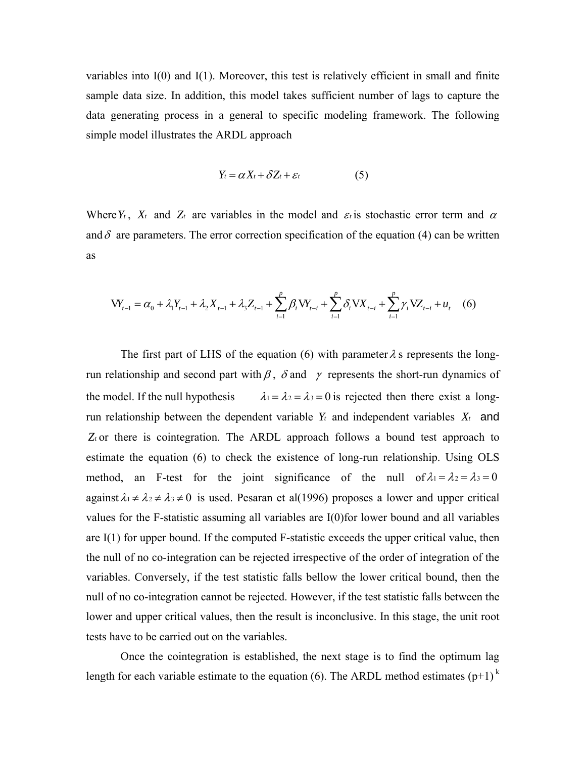variables into I(0) and I(1). Moreover, this test is relatively efficient in small and finite sample data size. In addition, this model takes sufficient number of lags to capture the data generating process in a general to specific modeling framework. The following simple model illustrates the ARDL approach

$$
Y_t = \alpha X_t + \delta Z_t + \varepsilon_t \tag{5}
$$

Where  $Y_t$ ,  $X_t$  and  $Z_t$  are variables in the model and  $\varepsilon_t$  is stochastic error term and  $\alpha$ and  $\delta$  are parameters. The error correction specification of the equation (4) can be written as

$$
VY_{t-1} = \alpha_0 + \lambda_1 Y_{t-1} + \lambda_2 X_{t-1} + \lambda_3 Z_{t-1} + \sum_{i=1}^p \beta_i VY_{t-i} + \sum_{i=1}^p \delta_i VX_{t-i} + \sum_{i=1}^p \gamma_i VZ_{t-i} + u_t
$$
 (6)

The first part of LHS of the equation (6) with parameter  $\lambda$  s represents the longrun relationship and second part with  $\beta$ ,  $\delta$  and  $\gamma$  represents the short-run dynamics of the model. If the null hypothesis  $\lambda_1 = \lambda_2 = \lambda_3 = 0$  is rejected then there exist a longrun relationship between the dependent variable  $Y_t$  and independent variables  $X_t$  and *Zt* or there is cointegration. The ARDL approach follows a bound test approach to estimate the equation (6) to check the existence of long-run relationship. Using OLS method, an F-test for the joint significance of the null of  $\lambda_1 = \lambda_2 = \lambda_3 = 0$ against  $\lambda_1 \neq \lambda_2 \neq \lambda_3 \neq 0$  is used. Pesaran et al(1996) proposes a lower and upper critical values for the F-statistic assuming all variables are I(0)for lower bound and all variables are I(1) for upper bound. If the computed F-statistic exceeds the upper critical value, then the null of no co-integration can be rejected irrespective of the order of integration of the variables. Conversely, if the test statistic falls bellow the lower critical bound, then the null of no co-integration cannot be rejected. However, if the test statistic falls between the lower and upper critical values, then the result is inconclusive. In this stage, the unit root tests have to be carried out on the variables.

Once the cointegration is established, the next stage is to find the optimum lag length for each variable estimate to the equation (6). The ARDL method estimates  $(p+1)^k$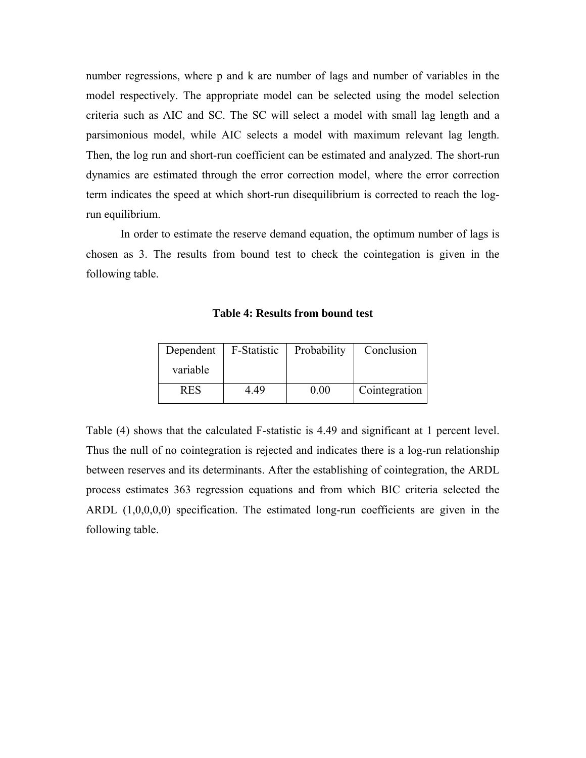number regressions, where p and k are number of lags and number of variables in the model respectively. The appropriate model can be selected using the model selection criteria such as AIC and SC. The SC will select a model with small lag length and a parsimonious model, while AIC selects a model with maximum relevant lag length. Then, the log run and short-run coefficient can be estimated and analyzed. The short-run dynamics are estimated through the error correction model, where the error correction term indicates the speed at which short-run disequilibrium is corrected to reach the logrun equilibrium.

In order to estimate the reserve demand equation, the optimum number of lags is chosen as 3. The results from bound test to check the cointegation is given in the following table.

| Dependent  | F-Statistic | Probability | Conclusion    |
|------------|-------------|-------------|---------------|
| variable   |             |             |               |
| <b>RES</b> | 4 49        | 0.00        | Cointegration |

**Table 4: Results from bound test**

Table (4) shows that the calculated F-statistic is 4.49 and significant at 1 percent level. Thus the null of no cointegration is rejected and indicates there is a log-run relationship between reserves and its determinants. After the establishing of cointegration, the ARDL process estimates 363 regression equations and from which BIC criteria selected the ARDL (1,0,0,0,0) specification. The estimated long-run coefficients are given in the following table.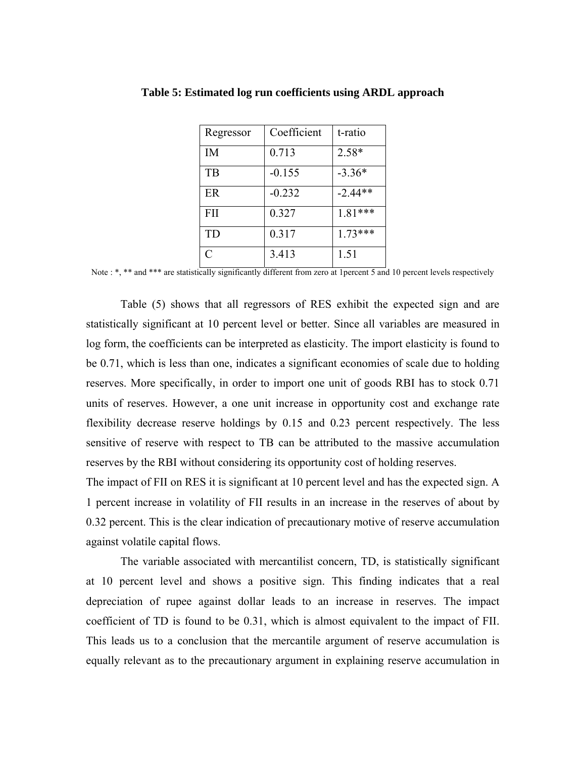| Regressor  | Coefficient | t-ratio   |
|------------|-------------|-----------|
| IM         | 0.713       | 2.58*     |
| TB         | $-0.155$    | $-3.36*$  |
| ER         | $-0.232$    | $-2.44**$ |
| <b>FII</b> | 0.327       | 1.81 ***  |
| TD         | 0.317       | $1.73***$ |
| C          | 3.413       | 1.51      |

**Table 5: Estimated log run coefficients using ARDL approach**

Note : \*, \*\* and \*\*\* are statistically significantly different from zero at 1 percent 5 and 10 percent levels respectively

Table (5) shows that all regressors of RES exhibit the expected sign and are statistically significant at 10 percent level or better. Since all variables are measured in log form, the coefficients can be interpreted as elasticity. The import elasticity is found to be 0.71, which is less than one, indicates a significant economies of scale due to holding reserves. More specifically, in order to import one unit of goods RBI has to stock 0.71 units of reserves. However, a one unit increase in opportunity cost and exchange rate flexibility decrease reserve holdings by 0.15 and 0.23 percent respectively. The less sensitive of reserve with respect to TB can be attributed to the massive accumulation reserves by the RBI without considering its opportunity cost of holding reserves.

The impact of FII on RES it is significant at 10 percent level and has the expected sign. A 1 percent increase in volatility of FII results in an increase in the reserves of about by 0.32 percent. This is the clear indication of precautionary motive of reserve accumulation against volatile capital flows.

The variable associated with mercantilist concern, TD, is statistically significant at 10 percent level and shows a positive sign. This finding indicates that a real depreciation of rupee against dollar leads to an increase in reserves. The impact coefficient of TD is found to be 0.31, which is almost equivalent to the impact of FII. This leads us to a conclusion that the mercantile argument of reserve accumulation is equally relevant as to the precautionary argument in explaining reserve accumulation in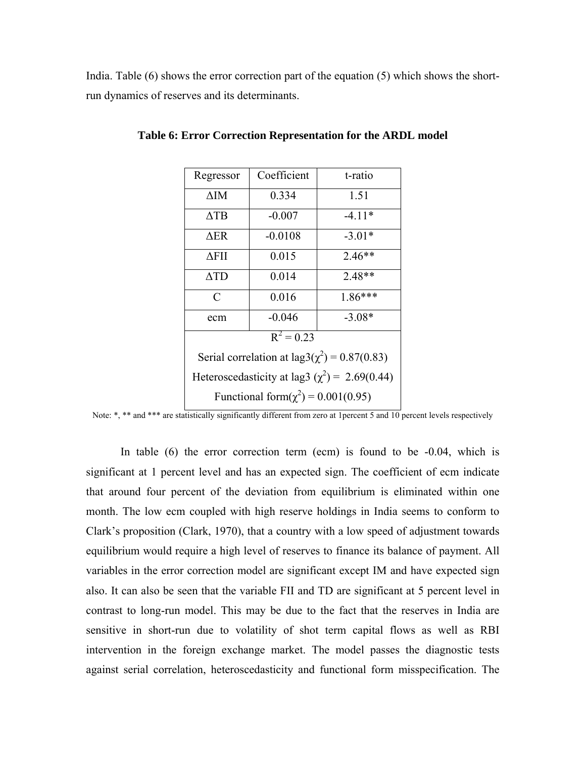India. Table (6) shows the error correction part of the equation (5) which shows the shortrun dynamics of reserves and its determinants.

| Regressor                                                | Coefficient | t-ratio  |  |  |  |
|----------------------------------------------------------|-------------|----------|--|--|--|
| ΔΙΜ                                                      | 0.334       | 1.51     |  |  |  |
| $\Delta$ TB                                              | $-0.007$    | $-4.11*$ |  |  |  |
| $\Delta$ ER                                              | $-0.0108$   | $-3.01*$ |  |  |  |
| ΔFΠ                                                      | 0.015       | $2.46**$ |  |  |  |
| $\Delta TD$                                              | 0.014       | $2.48**$ |  |  |  |
| C                                                        | 0.016       | 1.86***  |  |  |  |
| ecm                                                      | $-0.046$    | $-3.08*$ |  |  |  |
| $R^2 = 0.23$                                             |             |          |  |  |  |
| Serial correlation at $\text{lag3}(\chi^2) = 0.87(0.83)$ |             |          |  |  |  |
| Heteroscedasticity at lag3 ( $\chi^2$ ) = 2.69(0.44)     |             |          |  |  |  |
| Functional form( $\chi^2$ ) = 0.001(0.95)                |             |          |  |  |  |

**Table 6: Error Correction Representation for the ARDL model**

Note: \*, \*\* and \*\*\* are statistically significantly different from zero at 1percent 5 and 10 percent levels respectively

In table  $(6)$  the error correction term  $(ecm)$  is found to be  $-0.04$ , which is significant at 1 percent level and has an expected sign. The coefficient of ecm indicate that around four percent of the deviation from equilibrium is eliminated within one month. The low ecm coupled with high reserve holdings in India seems to conform to Clark's proposition (Clark, 1970), that a country with a low speed of adjustment towards equilibrium would require a high level of reserves to finance its balance of payment. All variables in the error correction model are significant except IM and have expected sign also. It can also be seen that the variable FII and TD are significant at 5 percent level in contrast to long-run model. This may be due to the fact that the reserves in India are sensitive in short-run due to volatility of shot term capital flows as well as RBI intervention in the foreign exchange market. The model passes the diagnostic tests against serial correlation, heteroscedasticity and functional form misspecification. The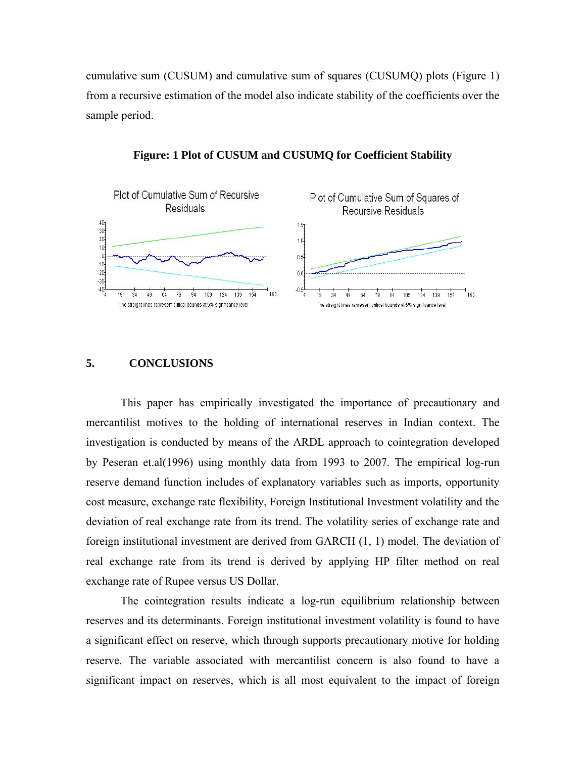cumulative sum (CUSUM) and cumulative sum of squares (CUSUMQ) plots (Figure 1) from a recursive estimation of the model also indicate stability of the coefficients over the sample period.



**Figure: 1 Plot of CUSUM and CUSUMQ for Coefficient Stability** 

#### **5. CONCLUSIONS**

This paper has empirically investigated the importance of precautionary and mercantilist motives to the holding of international reserves in Indian context. The investigation is conducted by means of the ARDL approach to cointegration developed by Peseran et.al(1996) using monthly data from 1993 to 2007. The empirical log-run reserve demand function includes of explanatory variables such as imports, opportunity cost measure, exchange rate flexibility, Foreign Institutional Investment volatility and the deviation of real exchange rate from its trend. The volatility series of exchange rate and foreign institutional investment are derived from GARCH (1, 1) model. The deviation of real exchange rate from its trend is derived by applying HP filter method on real exchange rate of Rupee versus US Dollar.

The cointegration results indicate a log-run equilibrium relationship between reserves and its determinants. Foreign institutional investment volatility is found to have a significant effect on reserve, which through supports precautionary motive for holding reserve. The variable associated with mercantilist concern is also found to have a significant impact on reserves, which is all most equivalent to the impact of foreign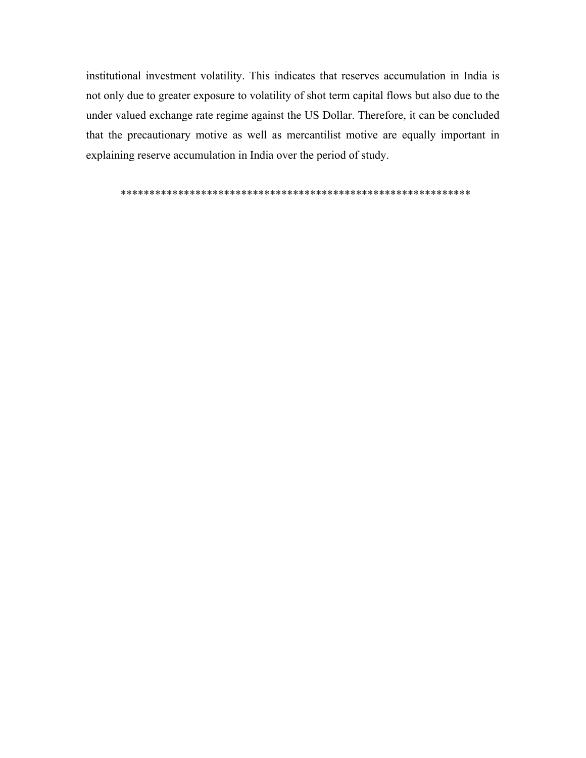institutional investment volatility. This indicates that reserves accumulation in India is not only due to greater exposure to volatility of shot term capital flows but also due to the under valued exchange rate regime against the US Dollar. Therefore, it can be concluded that the precautionary motive as well as mercantilist motive are equally important in explaining reserve accumulation in India over the period of study.

\*\*\*\*\*\*\*\*\*\*\*\*\*\*\*\*\*\*\*\*\*\*\*\*\*\*\*\*\*\*\*\*\*\*\*\*\*\*\*\*\*\*\*\*\*\*\*\*\*\*\*\*\*\*\*\*\*\*\*\*\*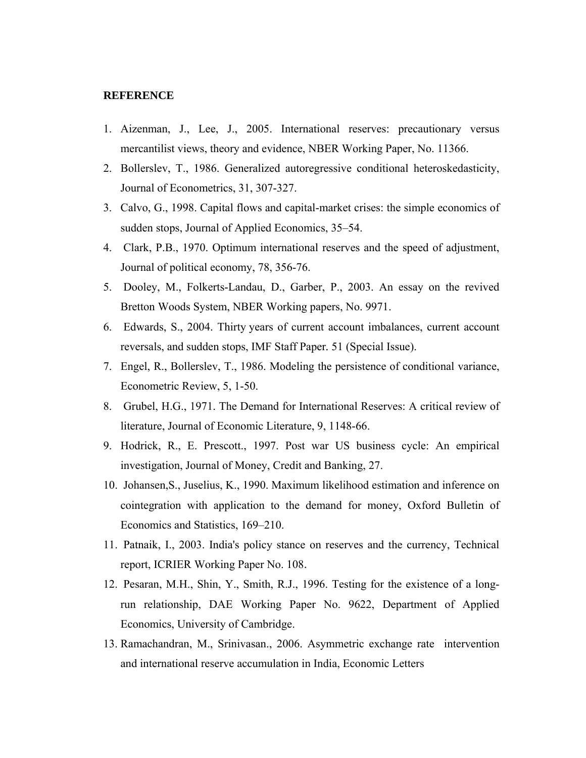#### **REFERENCE**

- 1. Aizenman, J., Lee, J., 2005. International reserves: precautionary versus mercantilist views, theory and evidence, NBER Working Paper, No. 11366.
- 2. Bollerslev, T., 1986. Generalized autoregressive conditional heteroskedasticity, Journal of Econometrics, 31, 307-327.
- 3. Calvo, G., 1998. Capital flows and capital-market crises: the simple economics of sudden stops, Journal of Applied Economics, 35–54.
- 4. Clark, P.B., 1970. Optimum international reserves and the speed of adjustment, Journal of political economy, 78, 356-76.
- 5. Dooley, M., Folkerts-Landau, D., Garber, P., 2003. An essay on the revived Bretton Woods System, NBER Working papers, No. 9971.
- 6. Edwards, S., 2004. Thirty years of current account imbalances, current account reversals, and sudden stops, IMF Staff Paper*.* 51 (Special Issue).
- 7. Engel, R., Bollerslev, T., 1986. Modeling the persistence of conditional variance, Econometric Review, 5, 1-50.
- 8. Grubel, H.G., 1971. The Demand for International Reserves: A critical review of literature, Journal of Economic Literature, 9, 1148-66.
- 9. Hodrick, R., E. Prescott., 1997. Post war US business cycle: An empirical investigation, Journal of Money, Credit and Banking, 27.
- 10. Johansen,S., Juselius, K., 1990. Maximum likelihood estimation and inference on cointegration with application to the demand for money, Oxford Bulletin of Economics and Statistics, 169–210.
- 11. Patnaik, I., 2003. India's policy stance on reserves and the currency, Technical report, ICRIER Working Paper No. 108.
- 12. Pesaran, M.H., Shin, Y., Smith, R.J., 1996. Testing for the existence of a longrun relationship, DAE Working Paper No. 9622, Department of Applied Economics, University of Cambridge.
- 13. Ramachandran, M., Srinivasan., 2006. Asymmetric exchange rate intervention and international reserve accumulation in India, Economic Letters